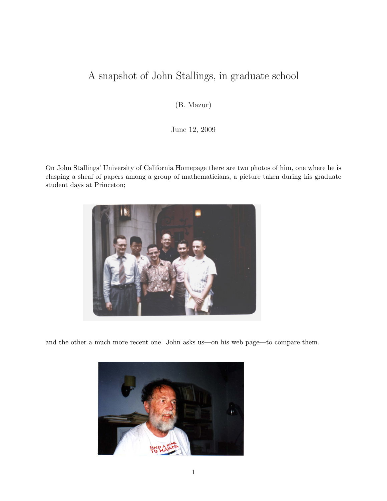## A snapshot of John Stallings, in graduate school

(B. Mazur)

June 12, 2009

On John Stallings' University of California Homepage there are two photos of him, one where he is clasping a sheaf of papers among a group of mathematicians, a picture taken during his graduate student days at Princeton;



and the other a much more recent one. John asks us—on his web page—to compare them.

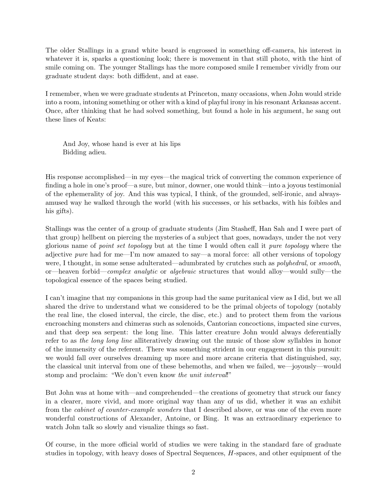The older Stallings in a grand white beard is engrossed in something off-camera, his interest in whatever it is, sparks a questioning look; there is movement in that still photo, with the hint of smile coming on. The younger Stallings has the more composed smile I remember vividly from our graduate student days: both diffident, and at ease.

I remember, when we were graduate students at Princeton, many occasions, when John would stride into a room, intoning something or other with a kind of playful irony in his resonant Arkansas accent. Once, after thinking that he had solved something, but found a hole in his argument, he sang out these lines of Keats:

And Joy, whose hand is ever at his lips Bidding adieu.

His response accomplished—in my eyes—the magical trick of converting the common experience of finding a hole in one's proof—a sure, but minor, downer, one would think—into a joyous testimonial of the ephemerality of joy. And this was typical, I think, of the grounded, self-ironic, and alwaysamused way he walked through the world (with his successes, or his setbacks, with his foibles and his gifts).

Stallings was the center of a group of graduate students (Jim Stasheff, Han Sah and I were part of that group) hellbent on piercing the mysteries of a subject that goes, nowadays, under the not very glorious name of point set topology but at the time I would often call it pure topology where the adjective pure had for me—I'm now amazed to say—a moral force: all other versions of topology were, I thought, in some sense adulterated—adumbrated by crutches such as *polyhedral*, or *smooth*, or—heaven forbid—complex analytic or algebraic structures that would alloy—would sully—the topological essence of the spaces being studied.

I can't imagine that my companions in this group had the same puritanical view as I did, but we all shared the drive to understand what we considered to be the primal objects of topology (notably the real line, the closed interval, the circle, the disc, etc.) and to protect them from the various encroaching monsters and chimeras such as solenoids, Cantorian concoctions, impacted sine curves, and that deep sea serpent: the long line. This latter creature John would always deferentially refer to as the long long line alliteratively drawing out the music of those slow syllables in honor of the immensity of the referent. There was something strident in our engagement in this pursuit: we would fall over ourselves dreaming up more and more arcane criteria that distinguished, say, the classical unit interval from one of these behemoths, and when we failed, we—joyously—would stomp and proclaim: "We don't even know the unit interval!"

But John was at home with—and comprehended—the creations of geometry that struck our fancy in a clearer, more vivid, and more original way than any of us did, whether it was an exhibit from the cabinet of counter-example wonders that I described above, or was one of the even more wonderful constructions of Alexander, Antoine, or Bing. It was an extraordinary experience to watch John talk so slowly and visualize things so fast.

Of course, in the more official world of studies we were taking in the standard fare of graduate studies in topology, with heavy doses of Spectral Sequences, H-spaces, and other equipment of the